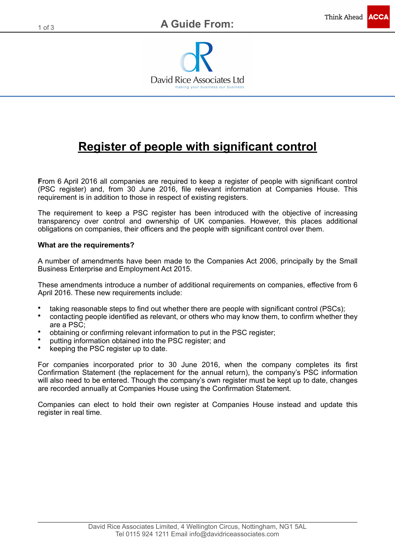

# **Register of people with significant control**

**F**rom 6 April 2016 all companies are required to keep a register of people with significant control (PSC register) and, from 30 June 2016, file relevant information at Companies House. This requirement is in addition to those in respect of existing registers.

The requirement to keep a PSC register has been introduced with the objective of increasing transparency over control and ownership of UK companies. However, this places additional obligations on companies, their officers and the people with significant control over them.

#### **What are the requirements?**

A number of amendments have been made to the Companies Act 2006, principally by the Small Business Enterprise and Employment Act 2015.

These amendments introduce a number of additional requirements on companies, effective from 6 April 2016. These new requirements include:

- taking reasonable steps to find out whether there are people with significant control (PSCs);
- contacting people identified as relevant, or others who may know them, to confirm whether they are a PSC;
- obtaining or confirming relevant information to put in the PSC register;
- putting information obtained into the PSC register; and
- keeping the PSC register up to date.

For companies incorporated prior to 30 June 2016, when the company completes its first Confirmation Statement (the replacement for the annual return), the company's PSC information will also need to be entered. Though the company's own register must be kept up to date, changes are recorded annually at Companies House using the Confirmation Statement.

Companies can elect to hold their own register at Companies House instead and update this register in real time.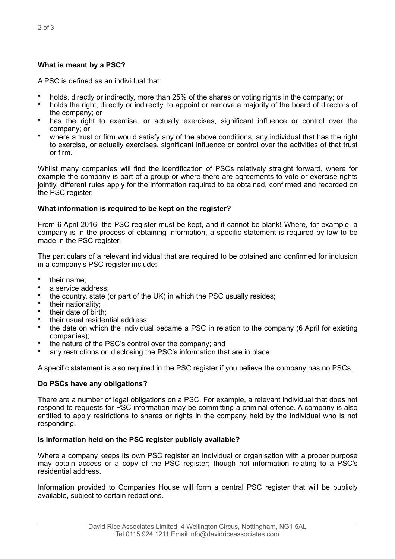## **What is meant by a PSC?**

A PSC is defined as an individual that:

- holds, directly or indirectly, more than 25% of the shares or voting rights in the company; or
- holds the right, directly or indirectly, to appoint or remove a majority of the board of directors of the company; or
- has the right to exercise, or actually exercises, significant influence or control over the company; or
- where a trust or firm would satisfy any of the above conditions, any individual that has the right to exercise, or actually exercises, significant influence or control over the activities of that trust or firm.

Whilst many companies will find the identification of PSCs relatively straight forward, where for example the company is part of a group or where there are agreements to vote or exercise rights jointly, different rules apply for the information required to be obtained, confirmed and recorded on the PSC register.

### **What information is required to be kept on the register?**

From 6 April 2016, the PSC register must be kept, and it cannot be blank! Where, for example, a company is in the process of obtaining information, a specific statement is required by law to be made in the PSC register.

The particulars of a relevant individual that are required to be obtained and confirmed for inclusion in a company's PSC register include:

- their name:
- a service address:
- the country, state (or part of the UK) in which the PSC usually resides;
- their nationality;
- their date of birth:
- their usual residential address:
- the date on which the individual became a PSC in relation to the company (6 April for existing companies);
- the nature of the PSC's control over the company; and
- any restrictions on disclosing the PSC's information that are in place.

A specific statement is also required in the PSC register if you believe the company has no PSCs.

### **Do PSCs have any obligations?**

There are a number of legal obligations on a PSC. For example, a relevant individual that does not respond to requests for PSC information may be committing a criminal offence. A company is also entitled to apply restrictions to shares or rights in the company held by the individual who is not responding.

### **Is information held on the PSC register publicly available?**

Where a company keeps its own PSC register an individual or organisation with a proper purpose may obtain access or a copy of the PSC register; though not information relating to a PSC's residential address.

Information provided to Companies House will form a central PSC register that will be publicly available, subject to certain redactions.